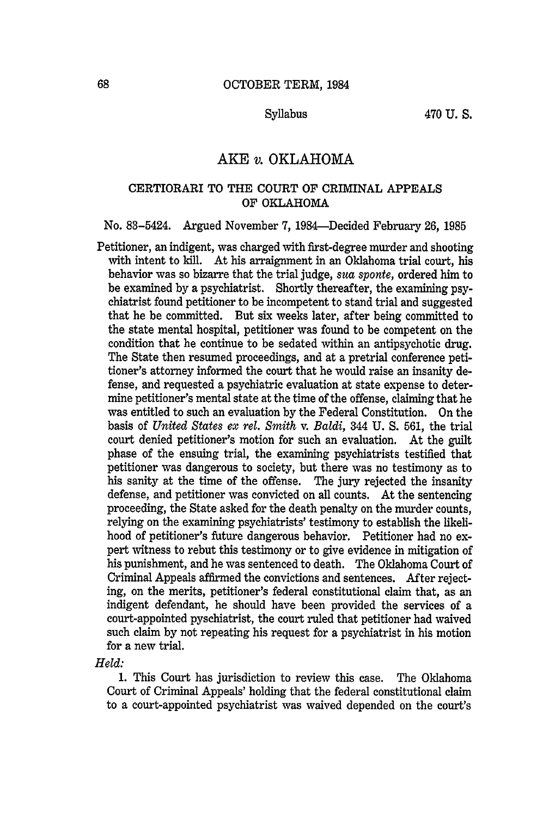# AKE *v.* OKLAHOMA

# CERTIORARI TO THE COURT OF CRIMINAL APPEALS OF OKLAHOMA

No. 83-5424. Argued November 7, 1984--Decided February 26, 1985

Petitioner, an indigent, was charged with first-degree murder and shooting with intent to kill. At his arraignment in an Oklahoma trial court, his behavior was so bizarre that the trial judge, *sua sponte,* ordered him to be examined by a psychiatrist. Shortly thereafter, the examining psychiatrist found petitioner to be incompetent to stand trial and suggested that he be committed. But six weeks later, after being committed to the state mental hospital, petitioner was found to be competent on the condition that he continue to be sedated within an antipsychotic drug. The State then resumed proceedings, and at a pretrial conference petitioner's attorney informed the court that he would raise an insanity defense, and requested a psychiatric evaluation at state expense to determine petitioner's mental state at the time of the offense, claiming that he was entitled to such an evaluation by the Federal Constitution. On the basis of *United States ex rel. Smith v. Baldi,* 344 U. **S.** 561, the trial court denied petitioner's motion for such an evaluation. At the guilt phase of the ensuing trial, the examining psychiatrists testified that petitioner was dangerous to society, but there was no testimony as to his sanity at the time of the offense. The jury rejected the insanity defense, and petitioner was convicted on all counts. At the sentencing proceeding, the State asked for the death penalty on the murder counts, relying on the examining psychiatrists' testimony to establish the likelihood of petitioner's future dangerous behavior. Petitioner had no expert witness to rebut this testimony or to give evidence in mitigation of his punishment, and he was sentenced to death. The Oklahoma Court of Criminal Appeals affirmed the convictions and sentences. After rejecting, on the merits, petitioner's federal constitutional claim that, as an indigent defendant, he should have been provided the services of a court-appointed pyschiatrist, the court ruled that petitioner had waived such claim by not repeating his request for a psychiatrist in his motion for a new trial.

*Held:*

1. This Court has jurisdiction to review this case. The Oklahoma Court of Criminal Appeals' holding that the federal constitutional claim to a court-appointed psychiatrist was waived depended on the court's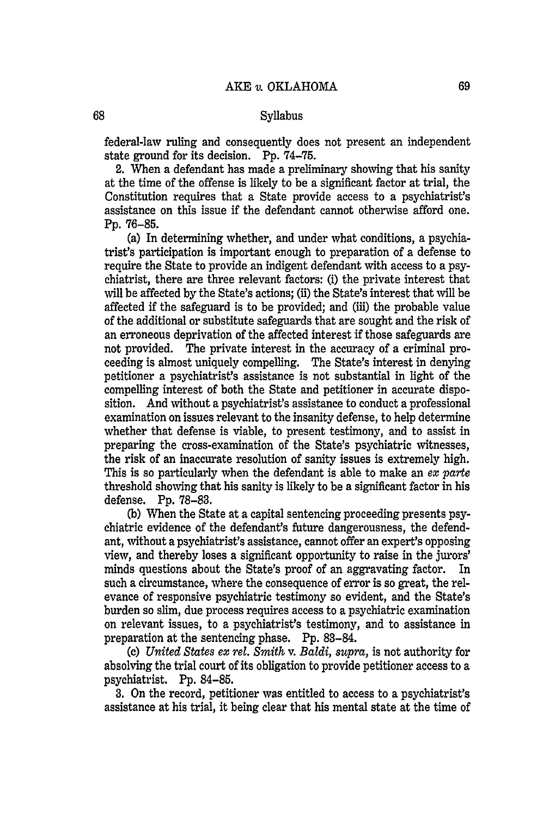## 68 Syllabus

federal-law ruling and consequently does not present an independent state ground for its decision. Pp. 74-75.

2. When a defendant has made a preliminary showing that his sanity at the time of the offense is likely to be a significant factor at trial, the Constitution requires that a State provide access to a psychiatrist's assistance on this issue if the defendant cannot otherwise afford one. Pp. 76-85.

(a) In determining whether, and under what conditions, a psychiatrist's participation is important enough to preparation of a defense to require the State to provide an indigent defendant with access to a psychiatrist, there are three relevant factors: (i) the private interest that will be affected by the State's actions; (ii) the State's interest that will be affected if the safeguard is to be provided; and (iii) the probable value of the additional or substitute safeguards that are sought and the risk of an erroneous deprivation of the affected interest if those safeguards are not provided. The private interest in the accuracy of a criminal proceeding is almost uniquely compelling. The State's interest in denying petitioner a psychiatrist's assistance is not substantial in light of the compelling interest of both the State and petitioner in accurate disposition. And without a psychiatrist's assistance to conduct a professional examination on issues relevant to the insanity defense, to help determine whether that defense is viable, to present testimony, and to assist in preparing the cross-examination of the State's psychiatric witnesses, the risk of an inaccurate resolution of sanity issues is extremely high. This is so particularly when the defendant is able to make an *ex parte* threshold showing that his sanity is likely to be a significant factor in his defense. Pp. 78-83.

(b) When the State at a capital sentencing proceeding presents psychiatric evidence of the defendant's future dangerousness, the defendant, without a psychiatrist's assistance, cannot offer an expert's opposing view, and thereby loses a significant opportunity to raise in the jurors' minds questions about the State's proof of an aggravating factor. In such a circumstance, where the consequence of error is so great, the relevance of responsive psychiatric testimony so evident, and the State's burden so slim, due process requires access to a psychiatric examination on relevant issues, to a psychiatrist's testimony, and to assistance in preparation at the sentencing phase. Pp. 83-84.

(c) *United States ex rel. Smith v. Baldi, supra,* is not authority for absolving the trial court of its obligation to provide petitioner access to a psychiatrist. Pp. 84-85.

3. On the record, petitioner was entitled to access to a psychiatrist's assistance at his trial, it being clear that his mental state at the time of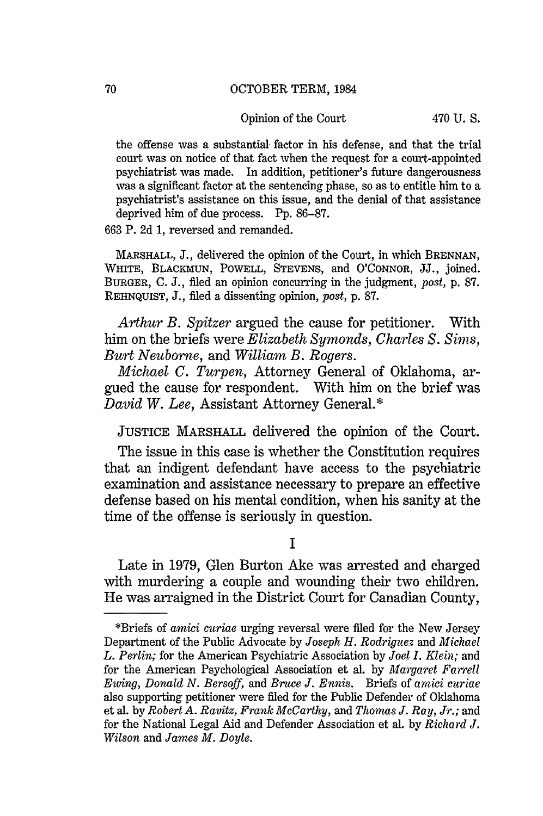## OCTOBER TERM, 1984

#### Opinion of the Court 470 U.S.

the offense was a substantial factor in his defense, and that the trial court was on notice of that fact when the request for a court-appointed psychiatrist was made. In addition, petitioner's future dangerousness was a significant factor at the sentencing phase, so as to entitle him to a psychiatrist's assistance on this issue, and the denial of that assistance deprived him of due process. Pp. 86-87.

663 P. 2d 1, reversed and remanded.

MARSHALL, J., delivered the opinion of the Court, in which BRENNAN, WHITE, BLACKMUN, POWELL, STEVENS, and O'CONNOR, JJ., joined. BURGER, C. J., filed an opinion concurring in the judgment, *post,* p. 87. REHNQUIST, **J.,** filed a dissenting opinion, *post,* p. 87.

*Arthur B. Spitzer* argued the cause for petitioner. With him on the briefs were *Elizabeth Symonds, Charles S. Sims, Burt Neuborne,* and *William B. Rogers.*

*Michael C. Turpen,* Attorney General of Oklahoma, argued the cause for respondent. With him on the brief was *David W. Lee,* Assistant Attorney General.\*

JUSTICE MARSHALL delivered the opinion of the Court.

The issue in this case is whether the Constitution requires that an indigent defendant have access to the psychiatric examination and assistance necessary to prepare an effective defense based on his mental condition, when his sanity at the time of the offense is seriously in question.

**I**

Late in 1979, Glen Burton Ake was arrested and charged with murdering a couple and wounding their two children. He was arraigned in the District Court for Canadian County,

<sup>\*</sup>Briefs of *amici curiae* urging reversal were filed for the New Jersey Department of the Public Advocate by *Joseph H. Rodriguez* and *Michael L. Perlin;* for the American Psychiatric Association by *Joel 1. Klein;* and for the American Psychological Association et al. by *Margaret Farrell Ewing, Donald N. Bersoff, and Bruce J. Ennis.* Briefs of *amici curiae* also supporting petitioner were filed for the Public Defender of Oklahoma et al. by *Robert A. Ravitz, Frank McCarthy,* and *Thomas J. Ray, Jr.;* and for the National Legal Aid and Defender Association et al. by *Richard J. Wilson* and *James M. Doyle.*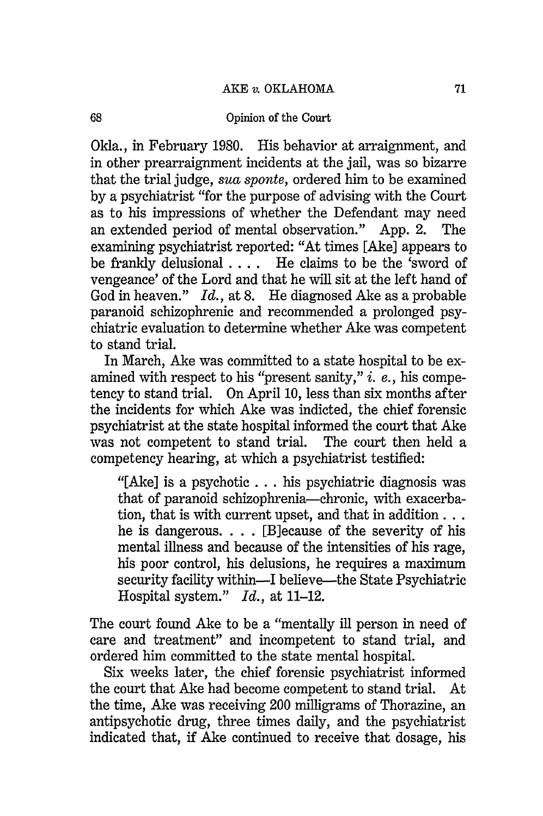Okla., in February 1980. His behavior at arraignment, and in other prearraignment incidents at the jail, was so bizarre that the trial judge, *sua sponte,* ordered him to be examined by a psychiatrist "for the purpose of advising with the Court as to his impressions of whether the Defendant may need an extended period of mental observation." App. 2. The examining psychiatrist reported: "At times [Ake] appears to be frankly delusional .... He claims to be the 'sword of vengeance' of the Lord and that he will sit at the left hand of God in heaven." *Id.,* at 8. He diagnosed Ake as a probable paranoid schizophrenic and recommended a prolonged psychiatric evaluation to determine whether Ake was competent to stand trial.

In March, Ake was committed to a state hospital to be examined with respect to his "present sanity," *i. e.,* his competency to stand trial. On April 10, less than six months after the incidents for which Ake was indicted, the chief forensic psychiatrist at the state hospital informed the court that Ake was not competent to stand trial. The court then held a competency hearing, at which a psychiatrist testified:

"[Ake] is a psychotic **...** his psychiatric diagnosis was that of paranoid schizophrenia-chronic, with exacerbation, that is with current upset, and that in addition... he is dangerous. . . . [B]ecause of the severity of his mental illness and because of the intensities of his rage, his poor control, his delusions, he requires a maximum security facility within-I believe-the State Psychiatric Hospital system." *Id.,* at 11-12.

The court found Ake to be a "mentally ill person in need of care and treatment" and incompetent to stand trial, and ordered him committed to the state mental hospital.

Six weeks later, the chief forensic psychiatrist informed the court that Ake had become competent to stand trial. At the time, Ake was receiving 200 milligrams of Thorazine, an antipsychotic drug, three times daily, and the psychiatrist indicated that, if Ake continued to receive that dosage, his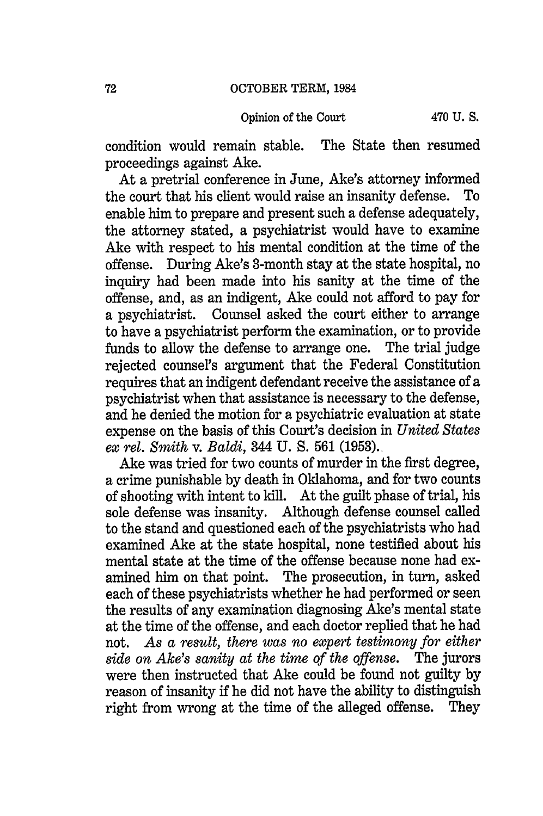condition would remain stable. The State then resumed proceedings against Ake.

At a pretrial conference in June, Ake's attorney informed the court that his client would raise an insanity defense. To enable him to prepare and present such a defense adequately, the attorney stated, a psychiatrist would have to examine Ake with respect to his mental condition at the time of the offense. During Ake's 3-month stay at the state hospital, no inquiry had been made into his sanity at the time of the offense, and, as an indigent, Ake could not afford to pay for a psychiatrist. Counsel asked the court either to arrange to have a psychiatrist perform the examination, or to provide funds to allow the defense to arrange one. The trial judge rejected counsel's argument that the Federal Constitution requires that an indigent defendant receive the assistance of a psychiatrist when that assistance is necessary to the defense, and he denied the motion for a psychiatric evaluation at state expense on the basis of this Court's decision in *United States ex rel. Smith v. Baldi,* 344 U. S. 561 (1953).

Ake was tried for two counts of murder in the first degree, a crime punishable by death in Oklahoma, and for two counts of shooting with intent to kill. At the guilt phase of trial, his sole defense was insanity. Although defense counsel called to the stand and questioned each of the psychiatrists who had examined Ake at the state hospital, none testified about his mental state at the time of the offense because none had examined him on that point. The prosecution, in turn, asked each of these psychiatrists whether he had performed or seen the results of any examination diagnosing Ake's mental state at the time of the offense, and each doctor replied that he had not. *As a result, there was no expert testimony for either side on Ake's sanity at the time of the offense.* The jurors were then instructed that Ake could be found not guilty by reason of insanity if he did not have the ability to distinguish right from wrong at the time of the alleged offense. They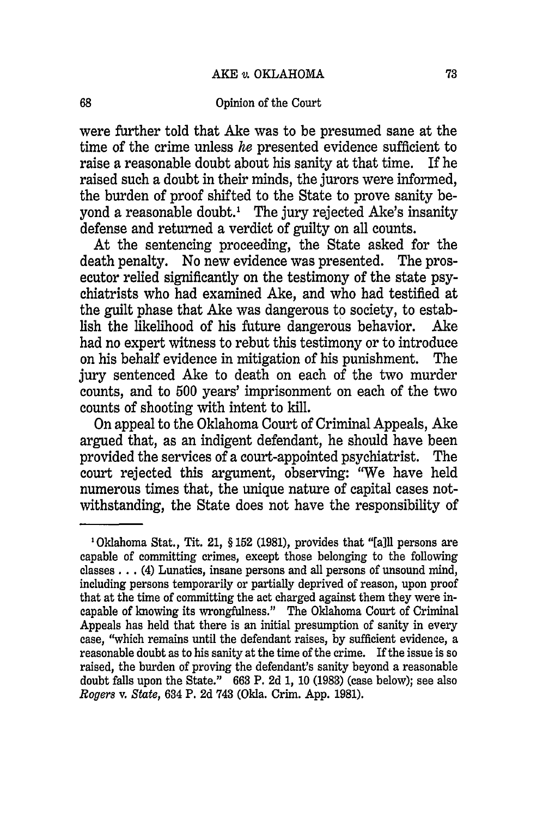were further told that Ake was to be presumed sane at the time of the crime unless *he* presented evidence sufficient to raise a reasonable doubt about his sanity at that time. If he raised such a doubt in their minds, the jurors were informed, the burden of proof shifted to the State to prove sanity beyond a reasonable doubt.<sup>1</sup> The jury rejected Ake's insanity defense and returned a verdict of guilty on all counts.

At the sentencing proceeding, the State asked for the death penalty. No new evidence was presented. The prosecutor relied significantly on the testimony of the state psychiatrists who had examined Ake, and who had testified at the guilt phase that Ake was dangerous to society, to establish the likelihood of his future dangerous behavior. Ake had no expert witness to rebut this testimony or to introduce on his behalf evidence in mitigation of his punishment. The jury sentenced Ake to death on each of the two murder counts, and to **500** years' imprisonment on each of the two counts of shooting with intent to kill.

On appeal to the Oklahoma Court of Criminal Appeals, Ake argued that, as an indigent defendant, he should have been provided the services of a court-appointed psychiatrist. The court rejected this argument, observing: "We have held numerous times that, the unique nature of capital cases notwithstanding, the State does not have the responsibility of

<sup>&#</sup>x27;Oklahoma Stat., Tit. 21, **§** 152 **(1981),** provides that "[all persons are capable of committing crimes, except those belonging to the following classes ... (4) Lunatics, insane persons and all persons of unsound mind, including persons temporarily or partially deprived of reason, upon proof that at the time of committing the act charged against them they were incapable of knowing its wrongfulness." The Oklahoma Court of Criminal Appeals has held that there is an initial presumption of sanity in every case, "which remains until the defendant raises, by sufficient evidence, a reasonable doubt as to his sanity at the time of the crime. If the issue is so raised, the burden of proving the defendant's sanity beyond a reasonable doubt falls upon the State." **663** P. 2d 1, 10 (1983) (case below); see also *Rogers v. State,* **634 P. 2d 743 (Okla. Crim. App. 1981).**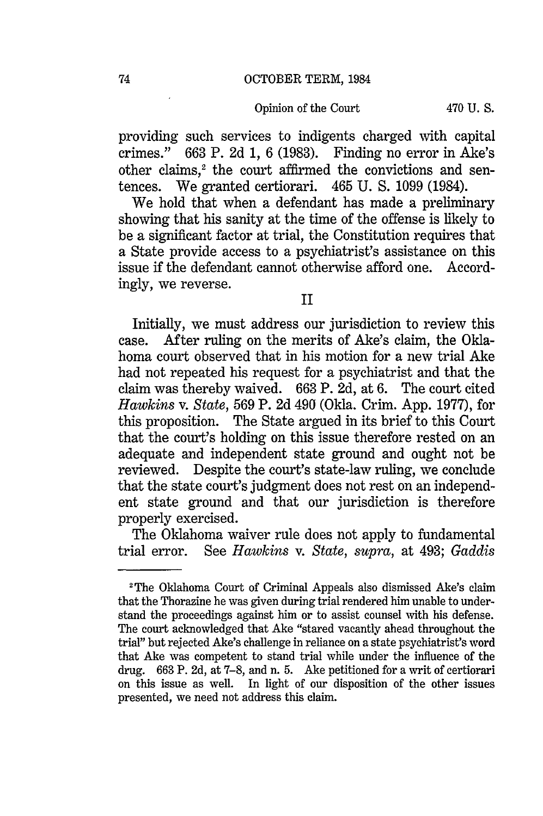### OCTOBER TERM, 1984

# Opinion of the Court 470 **U. S.**

providing such services to indigents charged with capital crimes." 663 P. 2d *1,* 6 (1983). Finding no error in Ake's other claims,<sup>2</sup> the court affirmed the convictions and sentences. We granted certiorari. 465 U. S. 1099 (1984).

We hold that when a defendant has made a preliminary showing that his sanity at the time of the offense is likely to be a significant factor at trial, the Constitution requires that a State provide access to a psychiatrist's assistance on this issue if the defendant cannot otherwise afford one. Accordingly, we reverse.

## II

Initially, we must address our jurisdiction to review this case. After ruling on the merits of Ake's claim, the Oklahoma court observed that in his motion for a new trial Ake had not repeated his request for a psychiatrist and that the claim was thereby waived. 663 P. 2d, at 6. The court cited *Hawkins v. State,* 569 P. 2d 490 (Okla. Crim. App. 1977), for this proposition. The State argued in its brief to this Court that the court's holding on this issue therefore rested on an adequate and independent state ground and ought not be reviewed. Despite the court's state-law ruling, we conclude that the state court's judgment does not rest on an independent state ground and that our jurisdiction is therefore properly exercised.

The Oklahoma waiver rule does not apply to fundamental trial error. See *Hawkins v. State, supra,* at 493; *Gaddis*

<sup>2</sup> The Oklahoma Court of Criminal Appeals also dismissed Ake's claim that the Thorazine he was given during trial rendered him unable to understand the proceedings against him or to assist counsel with his defense. The court acknowledged that Ake "stared vacantly ahead throughout the trial" but rejected Ake's challenge in reliance on a state psychiatrist's word that Ake was competent to stand trial while under the influence of the drug. 663 P. 2d, at 7-8, and n. 5. Ake petitioned for a writ of certiorari on this issue as well. In light of our disposition of the other issues presented, we need not address this claim.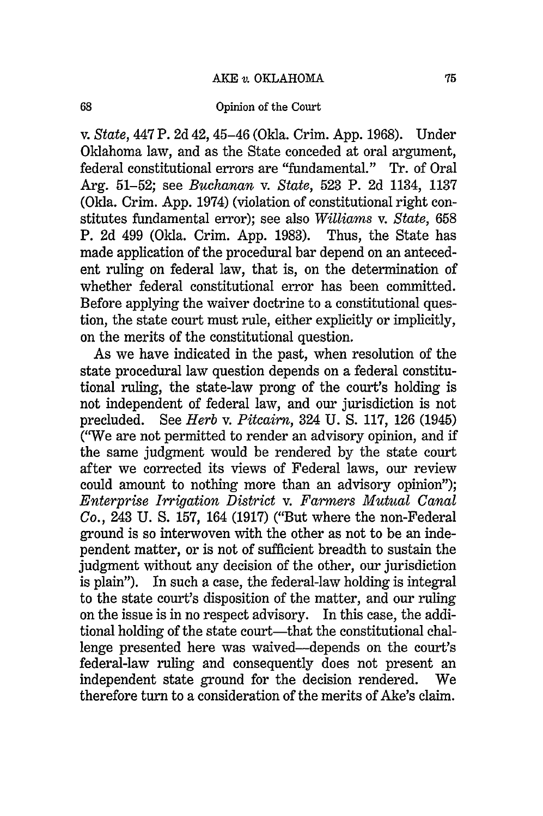*v. State,* 447 P. **2d** 42, 45-46 (Okla. Crim. **App. 1968).** Under Oklahoma law, and as the State conceded at oral argument, federal constitutional errors are "fundamental." Tr. of Oral Arg. **51-52;** see *Buchanan* v. *State,* **523** P. 2d 1134, **1137** (Okla. Crim. **App.** 1974) (violation of constitutional right constitutes fundamental error); see also *Williams* v. *State,* **658** P. **2d** 499 (Okla. Crim. **App. 1983).** Thus, the State has made application of the procedural bar depend on an antecedent ruling on federal law, that is, on the determination of whether federal constitutional error has been committed. Before applying the waiver doctrine to a constitutional question, the state court must rule, either explicitly or implicitly, on the merits of the constitutional question.

As we have indicated in the past, when resolution of the state procedural law question depends on a federal constitutional ruling, the state-law prong of the court's holding is not independent of federal law, and our jurisdiction is not precluded. See *Herb v. Pitcairn,* 324 **U. S. 117, 126** (1945) ("We are not permitted to render an advisory opinion, and if the same judgment would be rendered **by** the state court after we corrected its views of Federal laws, our review could amount to nothing more than an advisory opinion"); *Enterprise Irrigation District v. Farmers Mutual Canal Co.,* 243 U. **S.** 157, 164 (1917) ("But where the non-Federal ground is so interwoven with the other as not to be an independent matter, or is not of sufficient breadth to sustain the judgment without any decision of the other, our jurisdiction is plain"). In such a case, the federal-law holding is integral to the state court's disposition of the matter, and our ruling on the issue is in no respect advisory. In this case, the additional holding of the state court—that the constitutional challenge presented here was waived-depends on the court's federal-law ruling and consequently does not present an independent state ground for the decision rendered. We therefore turn to a consideration of the merits of Ake's claim.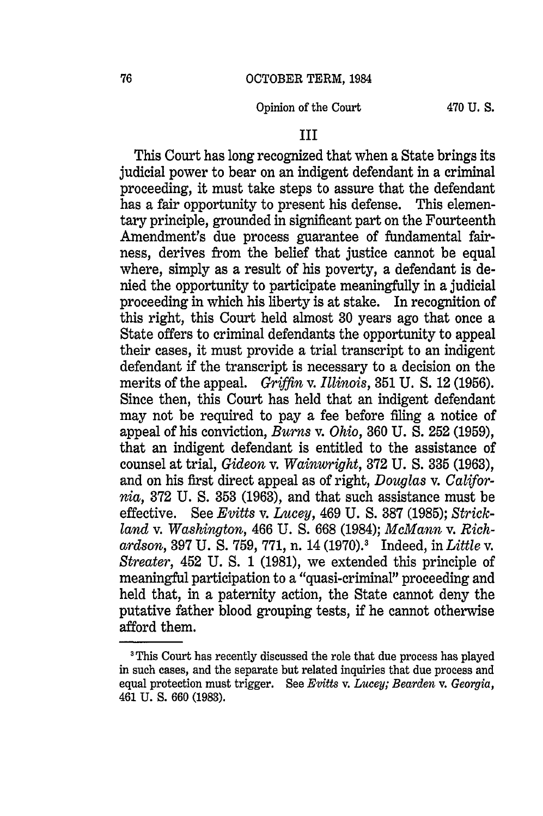## Opinion of the Court 470 U.S.

# **III**

This Court has long recognized that when a State brings its judicial power to bear on an indigent defendant in a criminal proceeding, it must take steps to assure that the defendant has a fair opportunity to present his defense. This elementary principle, grounded in significant part on the Fourteenth Amendment's due process guarantee of fundamental fairness, derives from the belief that justice cannot be equal where, simply as a result of his poverty, a defendant is denied the opportunity to participate meaningfully in a judicial proceeding in which his liberty is at stake. In recognition of this right, this Court held almost **30** years ago that once a State offers to criminal defendants the opportunity to appeal their cases, it must provide a trial transcript to an indigent defendant if the transcript is necessary to a decision on the merits of the appeal. *Griffin* v. *Illinois,* **351 U. S.** 12 **(1956).** Since then, this Court has held that an indigent defendant may not be required to pay a fee before filing a notice of appeal of his conviction, *Burns* v. *Ohio,* **360 U. S. 252 (1959),** that an indigent defendant is entitled to the assistance of counsel at trial, *Gideon v. Wainwright,* **372 U. S. 335 (1963),** and on his first direct appeal as of right, *Douglas v. California,* 372 U. **S.** 353 (1963), and that such assistance must be effective. See *Evitts v. Lucey,* 469 U. **S.** 387 (1985); *Strickland* v. *Washington,* 466 U. **S.** 668 (1984); *McMann v. Richardson,* 397 U. **S.** 759, 771, n. 14 (1970). Indeed, in *Little* v. *Streater,* 452 U. **S.** 1 (1981), we extended this principle of meaningful participation to a "quasi-criminal" proceeding and held that, in a paternity action, the State cannot deny the putative father blood grouping tests, if he cannot otherwise afford them.

<sup>&</sup>lt;sup>3</sup>This Court has recently discussed the role that due process has played in such cases, and the separate but related inquiries that due process and equal protection must trigger. See *Evitts* v. *Lucey; Bearden v. Georgia,* 461 U. S. 660 (1983).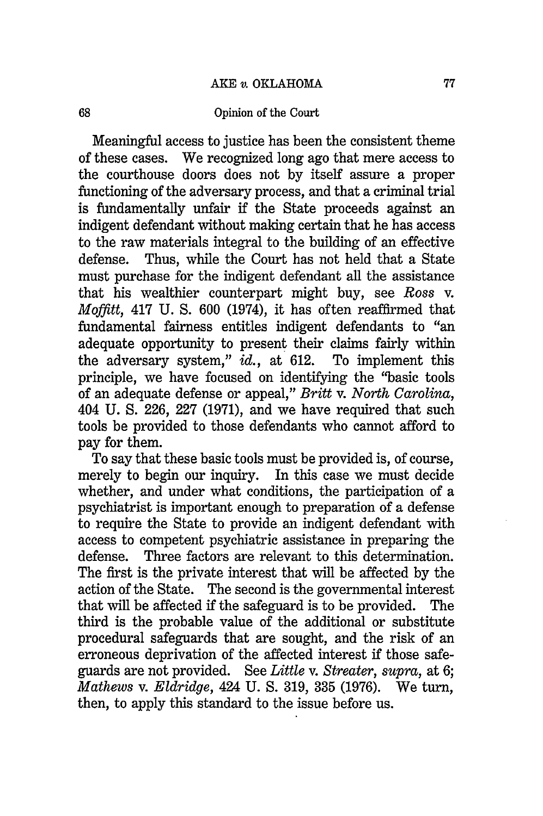Meaningful access to justice has been the consistent theme of these cases. We recognized long ago that mere access to the courthouse doors does not by itself assure a proper functioning of the adversary process, and that a criminal trial is fundamentally unfair if the State proceeds against an indigent defendant without making certain that he has access to the raw materials integral to the building of an effective defense. Thus, while the Court has not held that a State must purchase for the indigent defendant all the assistance that his wealthier counterpart might buy, see *Ross v. Moffitt,* 417 U. S. 600 (1974), it has often reaffirmed that fundamental fairness entitles indigent defendants to "an adequate opportunity to present their claims fairly within the adversary system," *id.,* at 612. To implement this principle, we have focused on identifying the "basic tools of an adequate defense or appeal," *Britt v. North Carolina,* 404 U. **S.** 226, 227 (1971), and we have required that such tools be provided to those defendants who cannot afford to pay for them.

To say that these basic tools must be provided is, of course, merely to begin our inquiry. In this case we must decide whether, and under what conditions, the participation of a psychiatrist is important enough to preparation of a defense to require the State to provide an indigent defendant with access to competent psychiatric assistance in preparing the defense. Three factors are relevant to this determination. The first is the private interest that will be affected by the action of the State. The second is the governmental interest that will be affected if the safeguard is to be provided. The third is the probable value of the additional or substitute procedural safeguards that are sought, and the risk of an erroneous deprivation of the affected interest if those safeguards are not provided. See *Little v. Streater, supra,* at 6; *Mathews v. Eldridge,* 424 U. **S.** 319, 335 (1976). We turn, then, to apply this standard to the issue before us.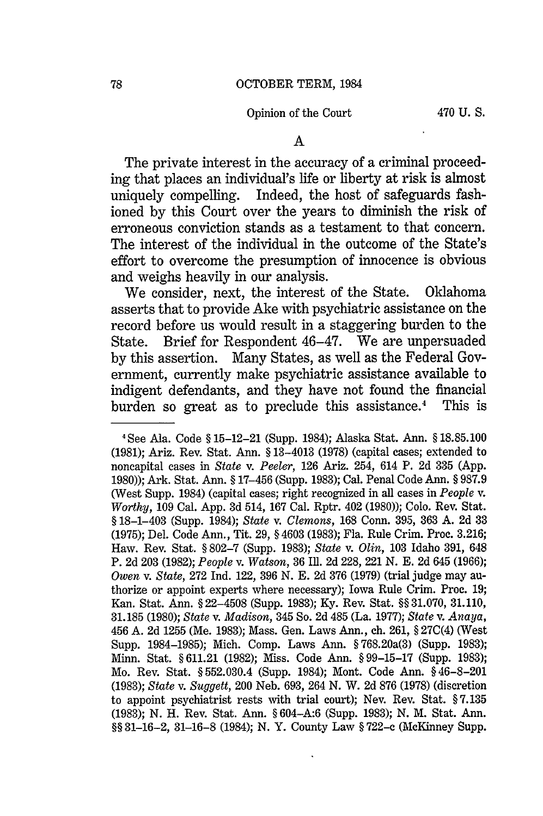#### OCTOBER TERM, 1984

### Opinion of the Court 470 U.S.

The private interest in the accuracy of a criminal proceeding that places an individual's life or liberty at risk is almost uniquely compelling. Indeed, the host of safeguards fashioned by this Court over the years to diminish the risk of erroneous conviction stands as a testament to that concern. The interest of the individual in the outcome of the State's effort to overcome the presumption of innocence is obvious and weighs heavily in our analysis.

We consider, next, the interest of the State. Oklahoma asserts that to provide Ake with psychiatric assistance on the record before us would result in a staggering burden to the State. Brief for Respondent 46-47. We are unpersuaded by this assertion. Many States, as well as the Federal Government, currently make psychiatric assistance available to indigent defendants, and they have not found the financial burden so great as to preclude this assistance.<sup>4</sup> This is

<sup>4</sup>See Ala. Code § 15-12-21 (Supp. 1984); Alaska Stat. Ann. § 18.85.100 (1981); Ariz. Rev. Stat. Ann. § 13-4013 (1978) (capital cases; extended to noncapital cases in *State v. Peeler,* 126 Ariz. 254, 614 P. 2d 335 (App. 1980)); Ark. Stat. Ann. § 17-456 (Supp. 1983); Cal. Penal Code Ann. § 987.9 (West Supp. 1984) (capital cases; right recognized in all cases in *People v. Worthy,* 109 Cal. App. 3d 514, 167 Cal. Rptr. 402 (1980)); Colo. Rev. Stat. § 18-1-403 (Supp. 1984); *State v. Clemons,* 168 Conn. 395, 363 A. 2d 33 (1975); Del. Code Ann., Tit. 29, § 4603 (1983); Fla. Rule Crim. Proc. 3.216; Haw. Rev. Stat. § 802-7 (Supp. 1983); *State* v. *Olin,* 103 Idaho 391, 648 P. 2d 203 (1982); *People v. Watson,* 36 Ill. 2d 228, 221 N. E. 2d 645 (1966); *Owen v. State,* 272 Ind. 122, 396 N. E. 2d 376 (1979) (trial judge may authorize or appoint experts where necessary); Iowa Rule Crim. Proc. 19; Kan. Stat. Ann. § 22-4508 (Supp. 1983); Ky. Rev. Stat. §§ 31.070, 31.110, 31.185 (1980); *State v. Madison,* 345 So. 2d 485 (La. 1977); *State v. Anaya,* 456 A. 2d 1255 (Me. 1983); Mass. Gen. Laws Ann., ch. 261, § 27C(4) (West Supp. 1984-1985); Mich. Comp. Laws Ann. § 768.20a(3) (Supp. 1983); Minn. Stat. § 611.21 (1982); Miss. Code Ann. § 99-15-17 (Supp. 1983); Mo. Rev. Stat. § 552.030.4 (Supp. 1984); Mont. Code Ann. § 46-8-201 (1983); *State v. Suggett,* 200 Neb. 693, 264 N. W. 2d 876 (1978) (discretion to appoint psychiatrist rests with trial court); Nev. Rev. Stat. § 7.135 (1983); N. H. Rev. Stat. Ann. § 604-A:6 (Supp. 1983); N. M. Stat. Ann. §§ 31-16-2, 31-16-8 (1984); N. Y. County Law § 722-c (McKinney Supp.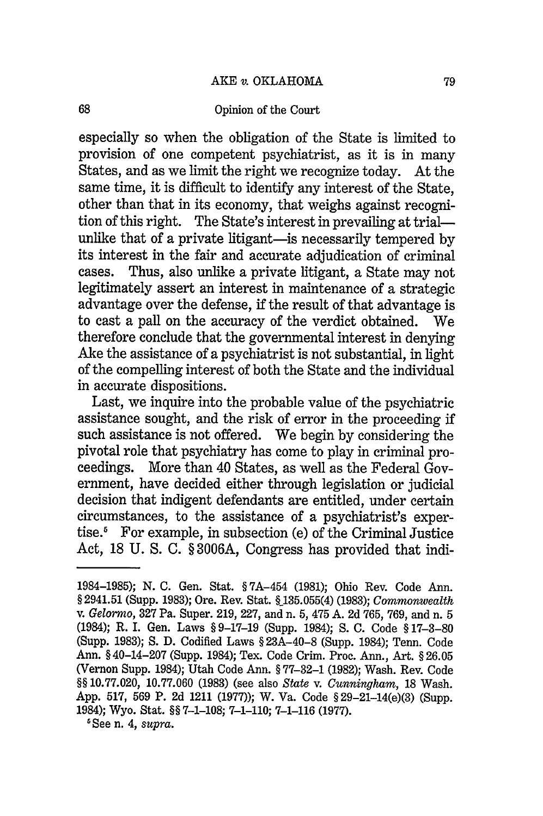especially so when the obligation of the State is limited to provision of one competent psychiatrist, as it is in many States, and as we limit the right we recognize today. At the same time, it is difficult to identify any interest of the State, other than that in its economy, that weighs against recognition of this right. The State's interest in prevailing at trialunlike that of a private litigant-is necessarily tempered **by** its interest in the fair and accurate adjudication of criminal cases. Thus, also unlike a private litigant, a State may not legitimately assert an interest in maintenance of a strategic advantage over the defense, if the result of that advantage is to cast a pall on the accuracy of the verdict obtained. We therefore conclude that the governmental interest in denying Ake the assistance of a psychiatrist is not substantial, in light of the compelling interest of both the State and the individual in accurate dispositions.

Last, we inquire into the probable value of the psychiatric assistance sought, and the risk of error in the proceeding if such assistance is not offered. We begin **by** considering the pivotal role that psychiatry has come to play in criminal proceedings. More than 40 States, as well as the Federal Government, have decided either through legislation or judicial decision that indigent defendants are entitled, under certain circumstances, to the assistance of a psychiatrist's expertise.5 For example, in subsection (e) of the Criminal Justice Act, **18 U. S. C. § 3006A,** Congress has provided that indi-

**<sup>1984-1985);</sup> N. C.** Gen. Stat. §7A-454 **(1981);** Ohio Rev. Code Ann. **§** 2941.51 (Supp. **1983);** Ore. Rev. Stat. **§ j35.055(4) (1983);** *Commonwealth* v. *Gelormo,* **327** Pa. Super. **219, 227,** and n. **5,** 475 **A. 2d 765, 769,** and n. **5** (1984); R. I. Gen. Laws **§ 9-17-19** (Supp. 1984); **S. C.** Code **§ 17-3-80** (Supp. **1983); S. D.** Codified Laws **§ 23A-40-8** (Supp. 1984); Tenn. Code Ann. **§** 40-14-207 (Supp. 1984); Tex. Code Crim. Proc. Ann., Art. **§ 26.05** (Vernon Supp. 1984); Utah Code Ann. **§ 77-32-1 (1982);** Wash. Rev. Code **§§ 10.77.020, 10.77.060 (1983)** (see also *State* v. *Cunningham,* **18** Wash. **App. 517, 569** P. **2d** 1211 **(1977));** W. Va. Code § 29-21-14(e)(3) (Supp. 1984); Wyo. Stat. **§§ 7-1-108; 7-1-110; 7-1-116 (1977).**

<sup>&#</sup>x27;See n. 4, *supra.*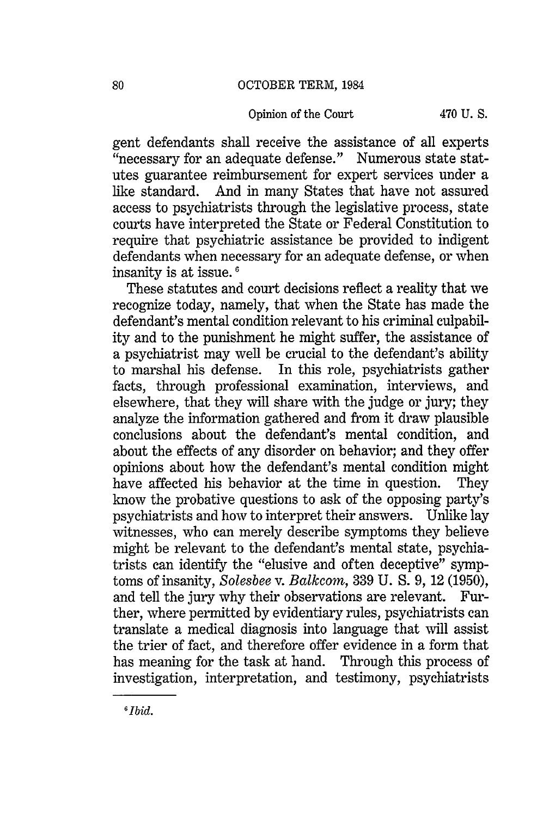Opinion of the Court 470 U.S.

gent defendants shall receive the assistance of all experts "necessary for an adequate defense." Numerous state statutes guarantee reimbursement for expert services under a like standard. And in many States that have not assured access to psychiatrists through the legislative process, state courts have interpreted the State or Federal Constitution to require that psychiatric assistance be provided to indigent defendants when necessary for an adequate defense, or when insanity is at issue. **<sup>6</sup>**

These statutes and court decisions reflect a reality that we recognize today, namely, that when the State has made the defendant's mental condition relevant to his criminal culpability and to the punishment he might suffer, the assistance of a psychiatrist may well be crucial to the defendant's ability to marshal his defense. In this role, psychiatrists gather facts, through professional examination, interviews, and elsewhere, that they will share with the judge or **jury;** they analyze the information gathered and from it draw plausible conclusions about the defendant's mental condition, and about the effects of any disorder on behavior; and they offer opinions about how the defendant's mental condition might have affected his behavior at the time in question. They know the probative questions to ask of the opposing party's psychiatrists and how to interpret their answers. Unlike lay witnesses, who can merely describe symptoms they believe might be relevant to the defendant's mental state, psychiatrists can identify the "elusive and often deceptive" symptoms of insanity, *Solesbee v. Balkcom,* 339 U. **S.** 9, 12 (1950), and tell the jury why their observations are relevant. Further, where permitted by evidentiary rules, psychiatrists can translate a medical diagnosis into language that will assist the trier of fact, and therefore offer evidence in a form that has meaning for the task at hand. Through this process of investigation, interpretation, and testimony, psychiatrists

*6Ibid.*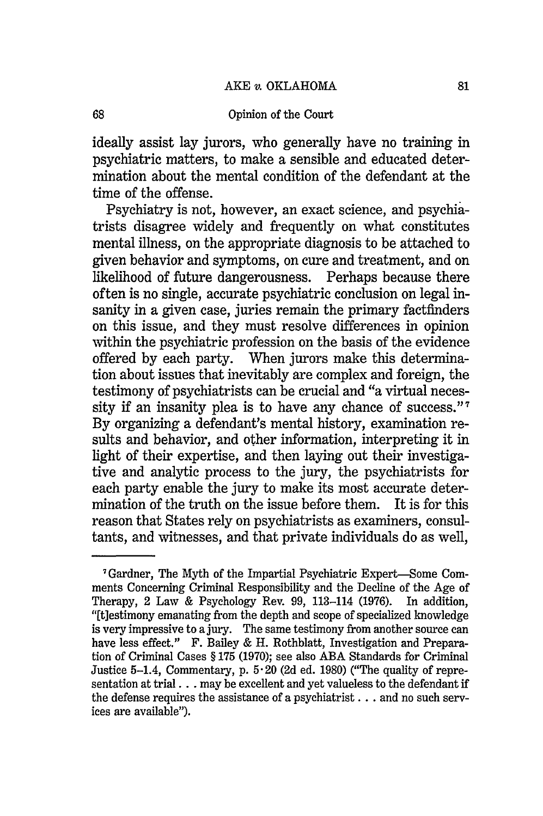ideally assist lay jurors, who generally have no training in psychiatric matters, to make a sensible and educated determination about the mental condition of the defendant at the time of the offense.

Psychiatry is not, however, an exact science, and psychiatrists disagree widely and frequently on what constitutes mental illness, on the appropriate diagnosis to be attached to given behavior and symptoms, on cure and treatment, and on likelihood of future dangerousness. Perhaps because there often is no single, accurate psychiatric conclusion on legal insanity in a given case, juries remain the primary factfinders on this issue, and they must resolve differences in opinion within the psychiatric profession on the basis of the evidence offered by each party. When jurors make this determination about issues that inevitably are complex and foreign, the testimony of psychiatrists can be crucial and "a virtual necessity if an insanity plea is to have any chance of success."<sup>7</sup> By organizing a defendant's mental history, examination results and behavior, and other information, interpreting it in light of their expertise, and then laying out their investigative and analytic process to the jury, the psychiatrists for each party enable the jury to make its most accurate determination of the truth on the issue before them. It is for this reason that States rely on psychiatrists as examiners, consultants, and witnesses, and that private individuals do as well,

**<sup>7</sup>** Gardner, The Myth of the Impartial Psychiatric Expert-Some Comments Concerning Criminal Responsibility and the Decline of the Age of Therapy, 2 Law & Psychology Rev. 99, 113-114 (1976). In addition, "[tiestimony emanating from the depth and scope of specialized knowledge is very impressive to a jury. The same testimony from another source can have less effect." F. Bailey & H. Rothblatt, Investigation and Preparation of Criminal Cases § 175 (1970); see also ABA Standards for Criminal Justice  $5-1.4$ , Commentary, p.  $5.20$  (2d ed. 1980) ("The quality of representation at trial **...** may be excellent and yet valueless to the defendant if the defense requires the assistance of a psychiatrist... and no such services are available").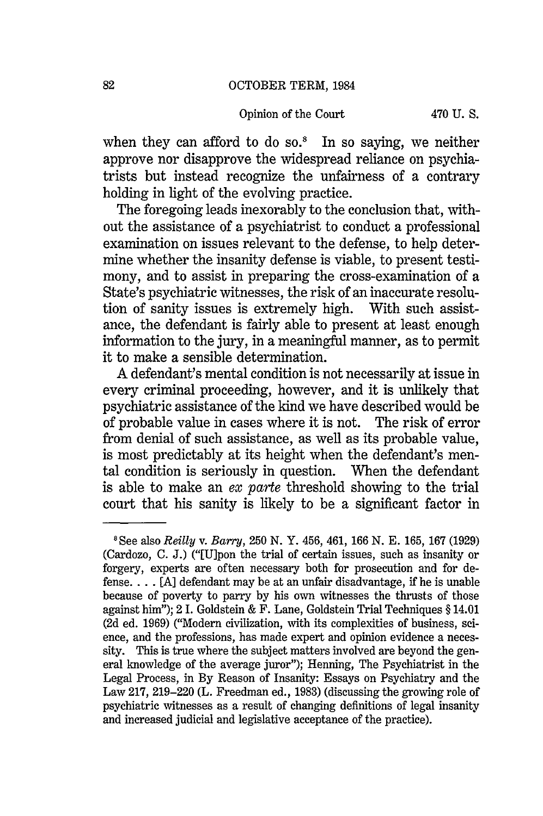when they can afford to do so. $\delta$  In so saying, we neither approve nor disapprove the widespread reliance on psychiatrists but instead recognize the unfairness of a contrary holding in light of the evolving practice.

The foregoing leads inexorably to the conclusion that, without the assistance of a psychiatrist to conduct a professional examination on issues relevant to the defense, to help determine whether the insanity defense is viable, to present testimony, and to assist in preparing the cross-examination of a State's psychiatric witnesses, the risk of an inaccurate resolution of sanity issues is extremely high. With such assistance, the defendant is fairly able to present at least enough information to the jury, in a meaningful manner, as to permit it to make a sensible determination.

A defendant's mental condition is not necessarily at issue in every criminal proceeding, however, and it is unlikely that psychiatric assistance of the kind we have described would be of probable value in cases where it is not. The risk of error from denial of such assistance, as well as its probable value, is most predictably at its height when the defendant's mental condition is seriously in question. When the defendant is able to make an *ex parte* threshold showing to the trial court that his sanity is likely to be a significant factor in

<sup>8</sup> See also *Reilly v. Barry,* 250 N. Y. 456, 461, 166 N. E. 165, 167 (1929) (Cardozo, C. J.) ("[Ulpon the trial of certain issues, such as insanity or forgery, experts are often necessary both for prosecution and for defense. . . . [A] defendant may be at an unfair disadvantage, if he is unable because of poverty to parry by his own witnesses the thrusts of those against him"); 2 I. Goldstein & F. Lane, Goldstein Trial Techniques § 14.01 (2d ed. 1969) ("Modern civilization, with its complexities of business, science, and the professions, has made expert and opinion evidence a necessity. This is true where the subject matters involved are beyond the general knowledge of the average juror"); Henning, The Psychiatrist in the Legal Process, in By Reason of Insanity: Essays on Psychiatry and the Law 217, 219-220 (L. Freedman ed., 1983) (discussing the growing role of psychiatric witnesses as a result of changing definitions of legal insanity and increased judicial and legislative acceptance of the practice).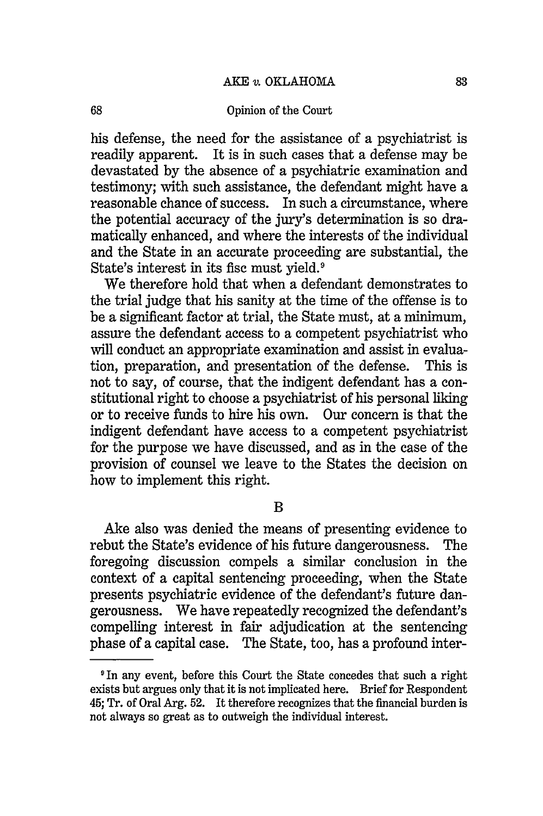his defense, the need for the assistance of a psychiatrist is readily apparent. It is in such cases that a defense may be devastated by the absence of a psychiatric examination and testimony; with such assistance, the defendant might have a reasonable chance of success. In such a circumstance, where the potential accuracy of the jury's determination is so dramatically enhanced, and where the interests of the individual and the State in an accurate proceeding are substantial, the State's interest in its fisc must yield.<sup>9</sup>

We therefore hold that when a defendant demonstrates to the trial judge that his sanity at the time of the offense is to be a significant factor at trial, the State must, at a minimum, assure the defendant access to a competent psychiatrist who will conduct an appropriate examination and assist in evaluation, preparation, and presentation of the defense. This is not to say, of course, that the indigent defendant has a constitutional right to choose a psychiatrist of his personal liking or to receive funds to hire his own. Our concern is that the indigent defendant have access to a competent psychiatrist for the purpose we have discussed, and as in the case of the provision of counsel we leave to the States the decision on how to implement this right.

B

Ake also was denied the means of presenting evidence to rebut the State's evidence of his future dangerousness. The foregoing discussion compels a similar conclusion in the context of a capital sentencing proceeding, when the State presents psychiatric evidence of the defendant's future dangerousness. We have repeatedly recognized the defendant's compelling interest in fair adjudication at the sentencing phase of a capital case. The State, too, has a profound inter-

**<sup>&#</sup>x27;In** any event, before this Court the State concedes that such a right exists but argues only that it is not implicated here. Brief for Respondent 45; Tr. of Oral Arg. 52. It therefore recognizes that the financial burden is not always so great as to outweigh the individual interest.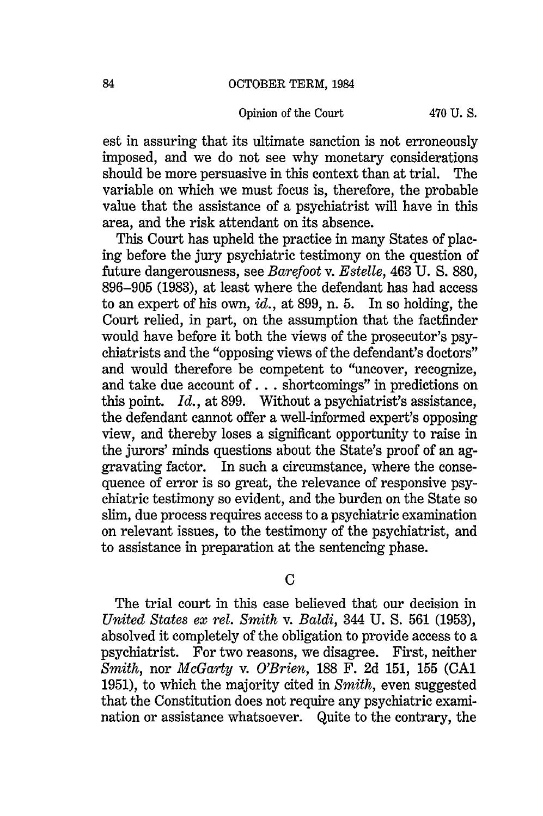### Opinion of the Court 470 **U.** S.

est in assuring that its ultimate sanction is not erroneously imposed, and we do not see why monetary considerations should be more persuasive in this context than at trial. The variable on which we must focus is, therefore, the probable value that the assistance of a psychiatrist will have in this area, and the risk attendant on its absence.

This Court has upheld the practice in many States of placing before the jury psychiatric testimony on the question of future dangerousness, see *Barefoot v. Estelle,* 463 U. S. 880, 896-905 (1983), at least where the defendant has had access to an expert of his own, *id.,* at 899, n. 5. In so holding, the Court relied, in part, on the assumption that the factfinder would have before it both the views of the prosecutor's psychiatrists and the "opposing views of the defendant's doctors" and would therefore be competent to "uncover, recognize, and take due account of **...** shortcomings" in predictions on this point. *Id.,* at 899. Without a psychiatrist's assistance, the defendant cannot offer a well-informed expert's opposing view, and thereby loses a significant opportunity to raise in the jurors' minds questions about the State's proof of an aggravating factor. In such a circumstance, where the consequence of error is so great, the relevance of responsive psychiatric testimony so evident, and the burden on the State so slim, due process requires access to a psychiatric examination on relevant issues, to the testimony of the psychiatrist, and to assistance in preparation at the sentencing phase.

 $\mathcal{C}$ 

The trial court in this case believed that our decision in *United States ex rel. Smith* v. *Baldi,* 344 U. **S.** 561 (1953), absolved it completely of the obligation to provide access to a psychiatrist. For two reasons, we disagree. First, neither *Smith,* nor *MeGarty* v. *O'Brien,* 188 F. 2d 151, 155 (CA1 1951), to which the majority cited in *Smith,* even suggested that the Constitution does not require any psychiatric examination or assistance whatsoever. Quite to the contrary, the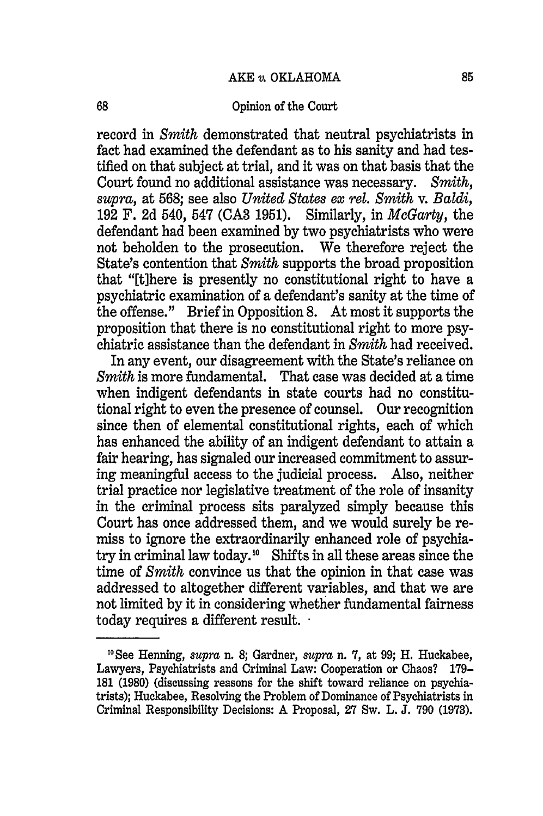record in *Smith* demonstrated that neutral psychiatrists in fact had examined the defendant as to his sanity and had testified on that subject at trial, and it was on that basis that the Court found no additional assistance was necessary. Smith, *supra,* at 568; see also *United States ex rel. Smith v. Baldi,* 192 F. 2d 540, 547 **(CA3** 1951). Similarly, in *MeGarty,* the defendant had been examined by two psychiatrists who were not beholden to the prosecution. We therefore reject the State's contention that *Smith* supports the broad proposition that "[t]here is presently no constitutional right to have a psychiatric examination of a defendant's sanity at the time of the offense." Brief in Opposition 8. At most it supports the proposition that there is no constitutional right to more psychiatric assistance than the defendant in *Smith* had received.

In any event, our disagreement with the State's reliance on *Smith* is more fundamental. That case was decided at a time when indigent defendants in state courts had no constitutional right to even the presence of counsel. Our recognition since then of elemental constitutional rights, each of which has enhanced the ability of an indigent defendant to attain a fair hearing, has signaled our increased commitment to assuring meaningful access to the judicial process. Also, neither trial practice nor legislative treatment of the role of insanity in the criminal process sits paralyzed simply because this Court has once addressed them, and we would surely be remiss to ignore the extraordinarily enhanced role of psychiatry in criminal law today.° Shifts in all these areas since the time of *Smith* convince us that the opinion in that case was addressed to altogether different variables, and that we are not limited by it in considering whether fundamental fairness today requires a different result.

<sup>10</sup> See Henning, *supra* n. **8;** Gardner, *supra* n. **7,** at **99;** H. Huckabee, Lawyers, Psychiatrists and Criminal Law: Cooperation or Chaos? 179- 181 (1980) (discussing reasons for the shift toward reliance on psychiatrists); Huckabee, Resolving the Problem of Dominance of Psychiatrists in Criminal Responsibility Decisions: A Proposal, **27** Sw. L. **J.** 790 (1973).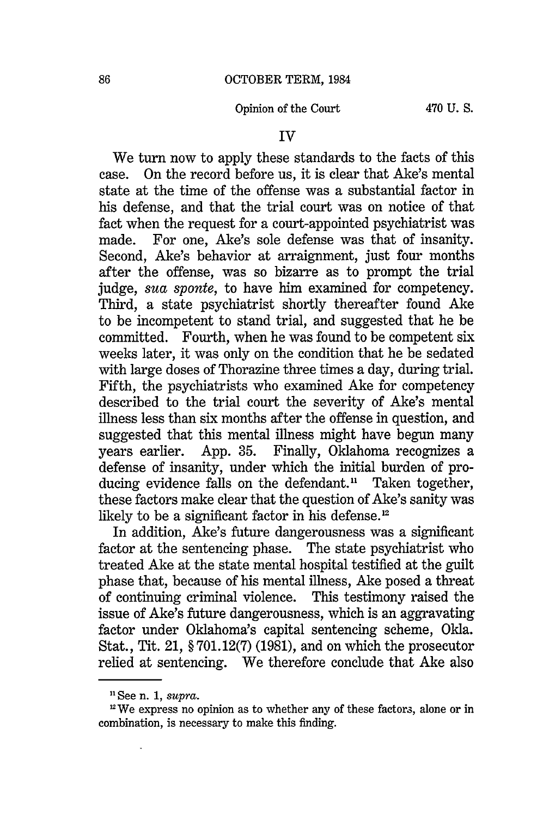## Opinion of the Court 470 U.S.

## IV

We turn now to apply these standards to the facts of this case. On the record before us, it is clear that Ake's mental state at the time of the offense was a substantial factor in his defense, and that the trial court was on notice of that fact when the request for a court-appointed psychiatrist was made. For one, Ake's sole defense was that of insanity. Second, Ake's behavior at arraignment, just four months after the offense, was so bizarre as to prompt the trial judge, *sua sponte,* to have him examined for competency. Third, a state psychiatrist shortly thereafter found Ake to be incompetent to stand trial, and suggested that he be committed. Fourth, when he was found to be competent six weeks later, it was only on the condition that he be sedated with large doses of Thorazine three times a day, during trial. Fifth, the psychiatrists who examined Ake for competency described to the trial court the severity of Ake's mental illness less than six months after the offense in question, and suggested that this mental illness might have begun many years earlier. App. 35. Finally, Oklahoma recognizes a defense of insanity, under which the initial burden of producing evidence falls on the defendant.<sup>11</sup> Taken together, these factors make clear that the question of Ake's sanity was likely to be a significant factor in his defense.<sup>12</sup>

In addition, Ake's future dangerousness was a significant factor at the sentencing phase. The state psychiatrist who treated Ake at the state mental hospital testified at the guilt phase that, because of his mental illness, Ake posed a threat of continuing criminal violence. This testimony raised the issue of Ake's future dangerousness, which is an aggravating factor under Oklahoma's capital sentencing scheme, Okla. Stat., Tit. 21, § 701.12(7) (1981), and on which the prosecutor relied at sentencing. We therefore conclude that Ake also

**<sup>&</sup>quot;** See n. 1, *supra.*

 $12$  We express no opinion as to whether any of these factors, alone or in combination, is necessary to make this finding.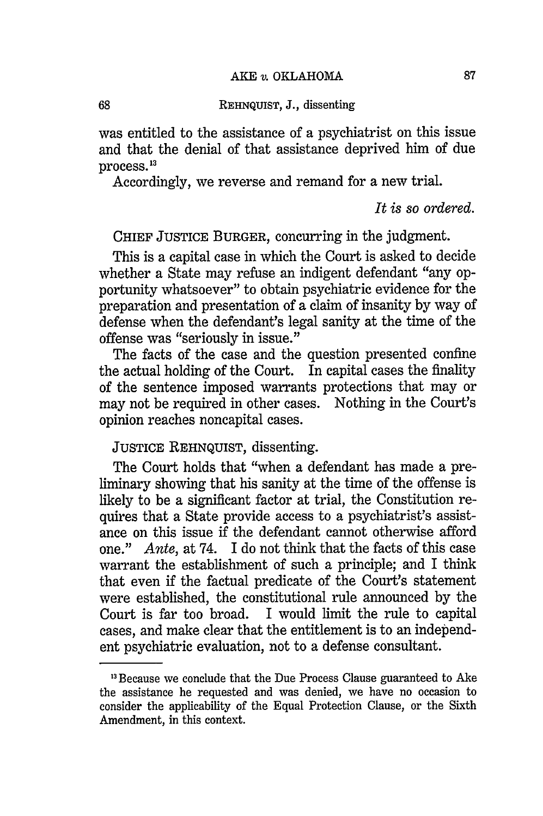68 REHNQUIST, **J.,** dissenting

was entitled to the assistance of a psychiatrist on this issue and that the denial of that assistance deprived him of due process.<sup>13</sup>

Accordingly, we reverse and remand for a new trial.

*It is so ordered.*

CHIEF JUSTICE BURGER, concurring in the judgment.

This is a capital case in which the Court is asked to decide whether a State may refuse an indigent defendant "any opportunity whatsoever" to obtain psychiatric evidence for the preparation and presentation of a claim of insanity by way of defense when the defendant's legal sanity at the time of the offense was "seriously in issue."

The facts of the case and the question presented confine the actual holding of the Court. In capital cases the finality of the sentence imposed warrants protections that may or may not be required in other cases. Nothing in the Court's opinion reaches noncapital cases.

JUSTICE REHNQUIST, dissenting.

The Court holds that "when a defendant has made a preliminary showing that his sanity at the time of the offense is likely to be a significant factor at trial, the Constitution requires that a State provide access to a psychiatrist's assistance on this issue if the defendant cannot otherwise afford one." *Ante,* at 74. I do not think that the facts of this case warrant the establishment of such a principle; and I think that even if the factual predicate of the Court's statement were established, the constitutional rule announced by the Court is far too broad. I would limit the rule to capital cases, and make clear that the entitlement is to an independent psychiatric evaluation, not to a defense consultant.

<sup>&</sup>lt;sup>13</sup> Because we conclude that the Due Process Clause guaranteed to Ake the assistance he requested and was denied, we have no occasion to consider the applicability of the Equal Protection Clause, or the Sixth Amendment, in this context.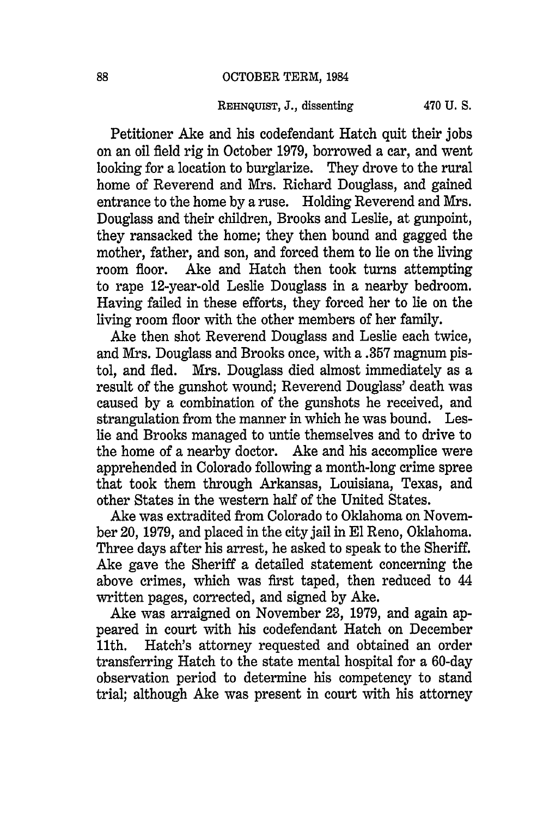# REHNQUIST, **J.,** dissenting 470 **U. S.**

Petitioner Ake and his codefendant Hatch quit their jobs on an oil field rig in October **1979,** borrowed a car, and went looking for a location to burglarize. They drove to the rural home of Reverend and Mrs. Richard Douglass, and gained entrance to the home **by** a ruse. Holding Reverend and Mrs. Douglass and their children, Brooks and Leslie, at gunpoint, they ransacked the home; they then bound and gagged the mother, father, and son, and forced them to lie on the living room floor. Ake and Hatch then took turns attempting to rape 12-year-old Leslie Douglass in a nearby bedroom. Having failed in these efforts, they forced her to lie on the living room floor with the other members of her family.

Ake then shot Reverend Douglass and Leslie each twice, and Mrs. Douglass and Brooks once, with a .357 magnum pistol, and fled. Mrs. Douglass died almost immediately as a result of the gunshot wound; Reverend Douglass' death was caused **by** a combination of the gunshots he received, and strangulation from the manner in which he was bound. Leslie and Brooks managed to untie themselves and to drive to the home of a nearby doctor. Ake and his accomplice were apprehended in Colorado following a month-long crime spree that took them through Arkansas, Louisiana, Texas, and other States in the western half of the United States.

Ake was extradited from Colorado to Oklahoma on November 20, **1979,** and placed in the city jail in **El** Reno, Oklahoma. Three days after his arrest, he asked to speak to the Sheriff. Ake gave the Sheriff a detailed statement concerning the above crimes, which was first taped, then reduced to 44 written pages, corrected, and signed **by** Ake.

Ake was arraigned on November **23, 1979,** and again appeared in court with his codefendant Hatch on December 11th. Hatch's attorney requested and obtained an order transferring Hatch to the state mental hospital for a 60-day observation period to determine his competency to stand trial; although Ake was present in court with his attorney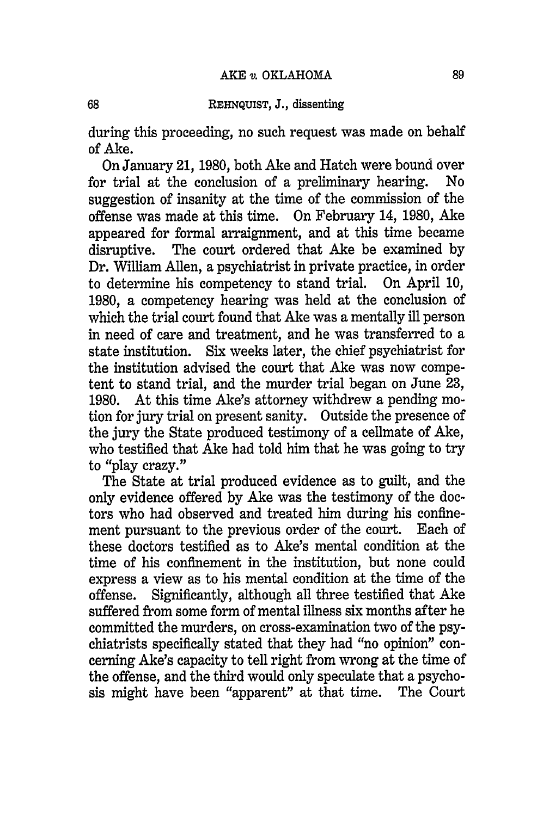during this proceeding, no such request was made on behalf of Ake.

On January 21, **1980,** both Ake and Hatch were bound over for trial at the conclusion of a preliminary hearing. No suggestion of insanity at the time of the commission of the offense was made at this time. On February 14, **1980,** Ake appeared for formal arraignment, and at this time became disruptive. The court ordered that Ake be examined **by** Dr. William Allen, a psychiatrist in private practice, in order to determine his competency to stand trial. On April **10, 1980,** a competency hearing was held at the conclusion of which the trial court found that Ake was a mentally ill person in need of care and treatment, and he was transferred to a state institution. Six weeks later, the chief psychiatrist for the institution advised the court that Ake was now competent to stand trial, and the murder trial began on June **23, 1980.** At this time Ake's attorney withdrew a pending motion for jury trial on present sanity. Outside the presence of the jury the State produced testimony of a cellmate of Ake, who testified that Ake had told him that he was going to try to "play crazy."

The State at trial produced evidence as to guilt, and the only evidence offered **by** Ake was the testimony of the doctors who had observed and treated him during his confinement pursuant to the previous order of the court. Each of these doctors testified as to Ake's mental condition at the time of his confinement in the institution, but none could express a view as to his mental condition at the time of the offense. Significantly, although all three testified that Ake suffered from some form of mental illness six months after he committed the murders, on cross-examination two of the psychiatrists specifically stated that they had "no opinion" concerning Ake's capacity to tell right from wrong at the time of the offense, and the third would only speculate that a psychosis might have been "apparent" at that time. The Court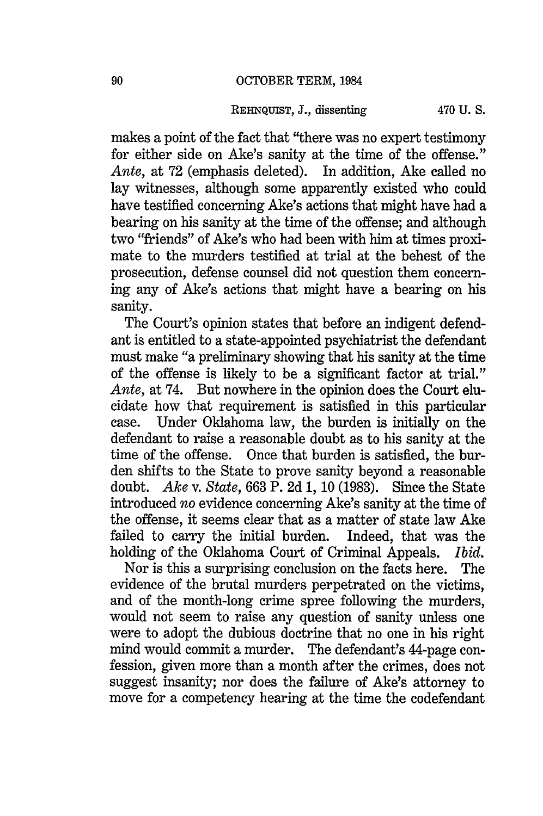### REHNQUIST, J., dissenting 470 U.S.

makes a point of the fact that "there was no expert testimony for either side on Ake's sanity at the time of the offense." *Ante,* at 72 (emphasis deleted). In addition, Ake called no lay witnesses, although some apparently existed who could have testified concerning Ake's actions that might have had a bearing on his sanity at the time of the offense; and although two "friends" of Ake's who had been with him at times proximate to the murders testified at trial at the behest of the prosecution, defense counsel did not question them concerning any of Ake's actions that might have a bearing on his sanity.

The Court's opinion states that before an indigent defendant is entitled to a state-appointed psychiatrist the defendant must make "a preliminary showing that his sanity at the time of the offense is likely to be a significant factor at trial." *Ante,* at 74. But nowhere in the opinion does the Court elucidate how that requirement is satisfied in this particular case. Under Oklahoma law, the burden is initially on the defendant to raise a reasonable doubt as to his sanity at the time of the offense. Once that burden is satisfied, the burden shifts to the State to prove sanity beyond a reasonable doubt. *Ake v. State,* 663 P. 2d 1, 10 (1983). Since the State introduced *no* evidence concerning Ake's sanity at the time of the offense, it seems clear that as a matter of state law Ake failed to carry the initial burden. Indeed, that was the holding of the Oklahoma Court of Criminal Appeals. *Ibid.*

Nor is this a surprising conclusion on the facts here. The evidence of the brutal murders perpetrated on the victims, and of the month-long crime spree following the murders, would not seem to raise any question of sanity unless one were to adopt the dubious doctrine that no one in his right mind would commit a murder. The defendant's 44-page confession, given more than a month after the crimes, does not suggest insanity; nor does the failure of Ake's attorney to move for a competency hearing at the time the codefendant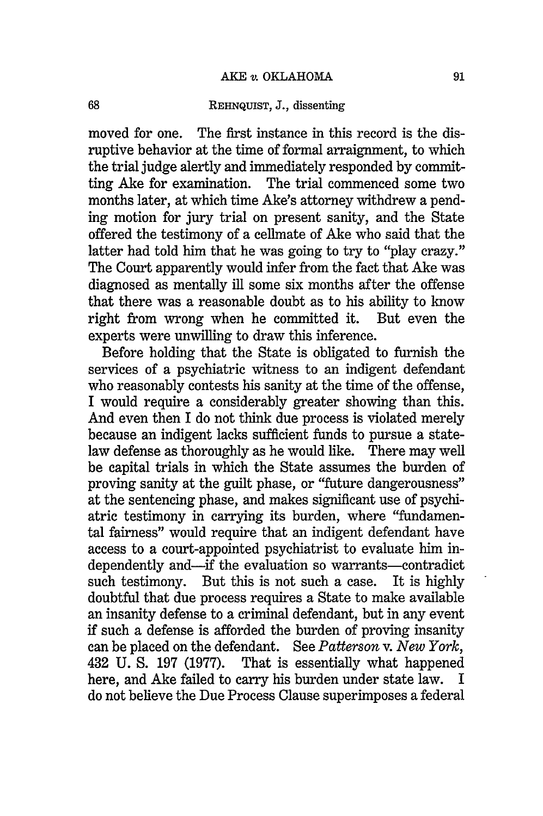# 68 **REHNQUIST, J.,** dissenting

moved for one. The first instance in this record is the disruptive behavior at the time of formal arraignment, to which the trial judge alertly and immediately responded by committing Ake for examination. The trial commenced some two months later, at which time Ake's attorney withdrew a pending motion for jury trial on present sanity, and the State offered the testimony of a cellmate of Ake who said that the latter had told him that he was going to try to "play crazy." The Court apparently would infer from the fact that Ake was diagnosed as mentally ill some six months after the offense that there was a reasonable doubt as to his ability to know right from wrong when he committed it. But even the experts were unwilling to draw this inference.

Before holding that the State is obligated to furnish the services of a psychiatric witness to an indigent defendant who reasonably contests his sanity at the time of the offense, I would require a considerably greater showing than this. And even then I do not think due process is violated merely because an indigent lacks sufficient funds to pursue a statelaw defense as thoroughly as he would like. There may well be capital trials in which the State assumes the burden of proving sanity at the guilt phase, or "future dangerousness" at the sentencing phase, and makes significant use of psychiatric testimony in carrying its burden, where "fundamental fairness" would require that an indigent defendant have access to a court-appointed psychiatrist to evaluate him independently and—if the evaluation so warrants—contradict such testimony. But this is not such a case. It is highly doubtful that due process requires a State to make available an insanity defense to a criminal defendant, but in any event if such a defense is afforded the burden of proving insanity can be placed on the defendant. See *Patterson v. New York,* 432 U. **S.** 197 (1977). That is essentially what happened here, and Ake failed to carry his burden under state law. I do not believe the Due Process Clause superimposes a federal